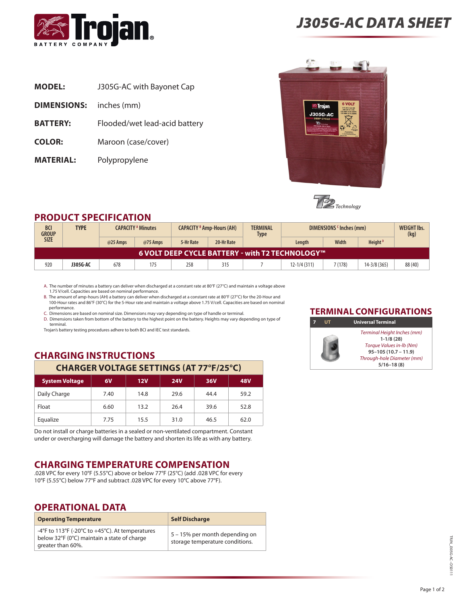

**Dimensions:** inches (mm)

**Model:** J305G-AC with Bayonet Cap

**BATTERY:** Flooded/wet lead-acid battery

**Color:** Maroon (case/cover)

**Material:** Polypropylene

# *J305G-AC data sheet*





## **Product Specification**

| <b>BCI</b><br><b>GROUP</b>                      | <b>TYPE</b> | <b>CAPACITY A Minutes</b> |          | <b>CAPACITY 8 Amp-Hours (AH)</b> |            | <b>TERMINAL</b><br><b>Type</b> | DIMENSIONS <sup>c</sup> Inches (mm) |         |                     | <b>WEIGHT Ibs.</b><br>(kg) |
|-------------------------------------------------|-------------|---------------------------|----------|----------------------------------|------------|--------------------------------|-------------------------------------|---------|---------------------|----------------------------|
| <b>SIZE</b>                                     |             | @25 Amps                  | @75 Amps | 5-Hr Rate                        | 20-Hr Rate |                                | Length                              | Width   | Height <sup>D</sup> |                            |
| 6 VOLT DEEP CYCLE BATTERY - with T2 TECHNOLOGY™ |             |                           |          |                                  |            |                                |                                     |         |                     |                            |
| 920                                             | J305G-AC    | 678                       | 175      | 258                              | 315        |                                | 12-1/4 (311)                        | 7 (178) | $14 - 3/8$ (365)    | 88(40)                     |

A. The number of minutes a battery can deliver when discharged at a constant rate at 80°F (27°C) and maintain a voltage above 1.75 V/cell. Capacities are based on nominal performance.

B. The amount of amp-hours (AH) a battery can deliver when discharged at a constant rate at 80°F (27°C) for the 20-Hour and 100-Hour rates and 86°F (30°C) for the 5-Hour rate and maintain a voltage above 1.75 V/cell. Capacities are based on nominal performance.

C. Dimensions are based on nominal size. Dimensions may vary depending on type of handle or terminal. D. Dimensions taken from bottom of the battery to the highest point on the battery. Heights may vary depending on type of terminal.

Trojan's battery testing procedures adhere to both BCI and IEC test standards.

# **Charging Instructions**

# **Charger Voltage Settings (at 77°F/25°C)**

| <b>System Voltage</b> | 6V   | 12V  | <b>24V</b> | 36V  | <b>48V</b> |
|-----------------------|------|------|------------|------|------------|
| Daily Charge          | 7.40 | 14.8 | 29.6       | 44.4 | 59.2       |
| Float                 | 6.60 | 13.2 | 26.4       | 39.6 | 52.8       |
| Equalize              | 7.75 | 15.5 | 31.0       | 46.5 | 62.0       |

Do not install or charge batteries in a sealed or non-ventilated compartment. Constant under or overcharging will damage the battery and shorten its life as with any battery.

# **Charging temperature compensation**

.028 VPC for every 10°F (5.55°C) above or below 77°F (25°C) (add .028 VPC for every 10°F (5.55°C) below 77°F and subtract .028 VPC for every 10°C above 77°F).

## **OPERATIONAL DATA**

| <b>Operating Temperature</b>                                                                                        | <b>Self Discharge</b>                                             |
|---------------------------------------------------------------------------------------------------------------------|-------------------------------------------------------------------|
| -4°F to 113°F (-20°C to +45°C). At temperatures<br>below 32°F (0°C) maintain a state of charge<br>greater than 60%. | 5 – 15% per month depending on<br>storage temperature conditions. |

### **TERMINAL CONFIGURATIONS**